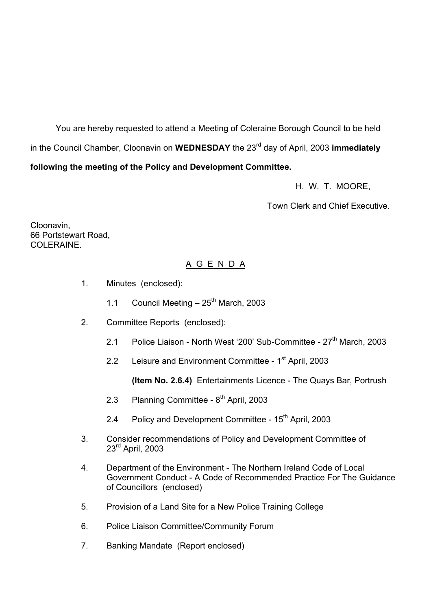You are hereby requested to attend a Meeting of Coleraine Borough Council to be held in the Council Chamber, Cloonavin on **WEDNESDAY** the 23<sup>rd</sup> day of April, 2003 **immediately following the meeting of the Policy and Development Committee.** 

H. W. T. MOORE,

Town Clerk and Chief Executive.

Cloonavin, 66 Portstewart Road, COLERAINE.

#### A G E N D A

- 1. Minutes (enclosed):
	- 1.1 Council Meeting  $-25<sup>th</sup>$  March, 2003
- 2. Committee Reports (enclosed):
	- 2.1 Police Liaison North West '200' Sub-Committee 27<sup>th</sup> March, 2003
	- 2.2 Leisure and Environment Committee 1<sup>st</sup> April, 2003

**(Item No. 2.6.4)** Entertainments Licence - The Quays Bar, Portrush

- 2.3 Planning Committee 8<sup>th</sup> April, 2003
- 2.4 Policy and Development Committee 15<sup>th</sup> April, 2003
- 3. Consider recommendations of Policy and Development Committee of 23<sup>rd</sup> April, 2003
- 4. Department of the Environment The Northern Ireland Code of Local Government Conduct - A Code of Recommended Practice For The Guidance of Councillors (enclosed)
- 5. Provision of a Land Site for a New Police Training College
- 6. Police Liaison Committee/Community Forum
- 7. Banking Mandate (Report enclosed)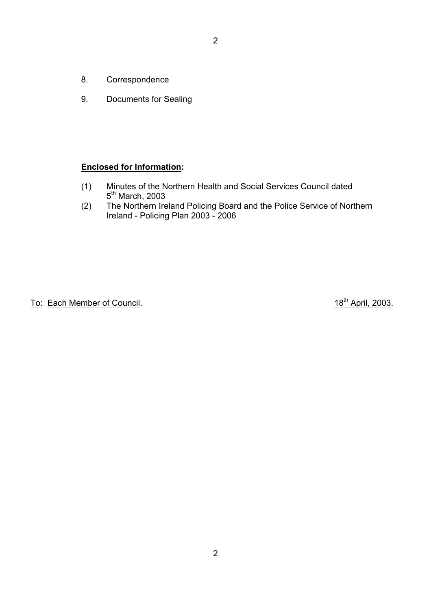- 2
- 8. Correspondence
- 9. Documents for Sealing

#### **Enclosed for Information:**

- (1) Minutes of the Northern Health and Social Services Council dated 5<sup>th</sup> March, 2003
- (2) The Northern Ireland Policing Board and the Police Service of Northern Ireland - Policing Plan 2003 - 2006

To: Each Member of Council. To: Each Member of Council.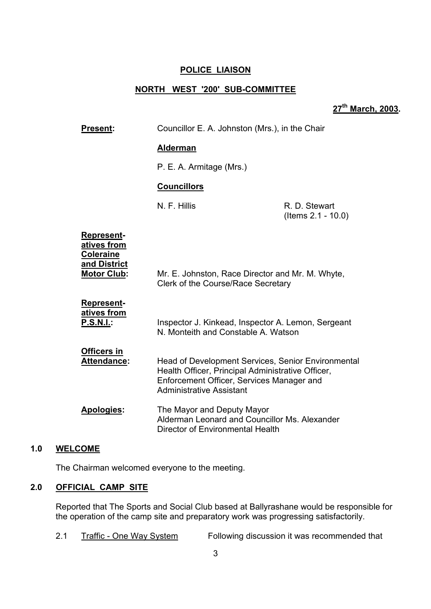#### **POLICE LIAISON**

# **NORTH WEST '200' SUB-COMMITTEE**

**27th March, 2003.** 

| <b>Present:</b>                                                                            | Councillor E. A. Johnston (Mrs.), in the Chair                                                                                                                                          |                                     |
|--------------------------------------------------------------------------------------------|-----------------------------------------------------------------------------------------------------------------------------------------------------------------------------------------|-------------------------------------|
|                                                                                            | <b>Alderman</b>                                                                                                                                                                         |                                     |
|                                                                                            | P. E. A. Armitage (Mrs.)                                                                                                                                                                |                                     |
|                                                                                            | <b>Councillors</b>                                                                                                                                                                      |                                     |
|                                                                                            | N. F. Hillis                                                                                                                                                                            | R. D. Stewart<br>(Items 2.1 - 10.0) |
| <b>Represent-</b><br>atives from<br><b>Coleraine</b><br>and District<br><b>Motor Club:</b> | Mr. E. Johnston, Race Director and Mr. M. Whyte,<br>Clerk of the Course/Race Secretary                                                                                                  |                                     |
| <b>Represent-</b><br>atives from<br><b>P.S.N.I.:</b>                                       | Inspector J. Kinkead, Inspector A. Lemon, Sergeant<br>N. Monteith and Constable A. Watson                                                                                               |                                     |
| <b>Officers in</b><br><b>Attendance:</b>                                                   | Head of Development Services, Senior Environmental<br>Health Officer, Principal Administrative Officer,<br>Enforcement Officer, Services Manager and<br><b>Administrative Assistant</b> |                                     |
| <b>Apologies:</b>                                                                          | The Mayor and Deputy Mayor<br>Alderman Leonard and Councillor Ms. Alexander<br>Director of Environmental Health                                                                         |                                     |

#### **1.0 WELCOME**

The Chairman welcomed everyone to the meeting.

### **2.0 OFFICIAL CAMP SITE**

Reported that The Sports and Social Club based at Ballyrashane would be responsible for the operation of the camp site and preparatory work was progressing satisfactorily.

2.1 Traffic - One Way System Following discussion it was recommended that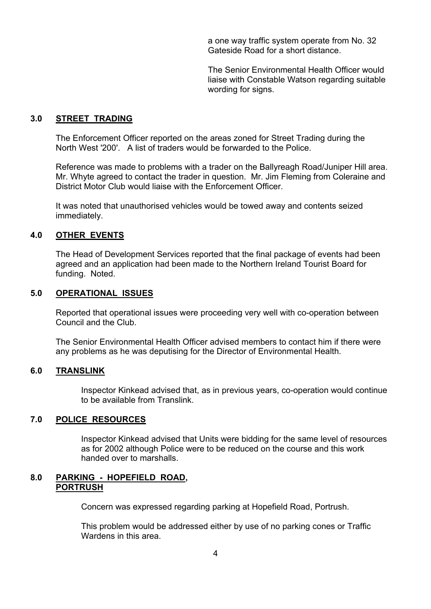a one way traffic system operate from No. 32 Gateside Road for a short distance.

 The Senior Environmental Health Officer would liaise with Constable Watson regarding suitable wording for signs.

#### **3.0 STREET TRADING**

 The Enforcement Officer reported on the areas zoned for Street Trading during the North West '200'. A list of traders would be forwarded to the Police.

 Reference was made to problems with a trader on the Ballyreagh Road/Juniper Hill area. Mr. Whyte agreed to contact the trader in question. Mr. Jim Fleming from Coleraine and District Motor Club would liaise with the Enforcement Officer.

It was noted that unauthorised vehicles would be towed away and contents seized immediately.

#### **4.0 OTHER EVENTS**

 The Head of Development Services reported that the final package of events had been agreed and an application had been made to the Northern Ireland Tourist Board for funding. Noted.

#### **5.0 OPERATIONAL ISSUES**

Reported that operational issues were proceeding very well with co-operation between Council and the Club.

 The Senior Environmental Health Officer advised members to contact him if there were any problems as he was deputising for the Director of Environmental Health.

#### **6.0 TRANSLINK**

 Inspector Kinkead advised that, as in previous years, co-operation would continue to be available from Translink.

#### **7.0 POLICE RESOURCES**

 Inspector Kinkead advised that Units were bidding for the same level of resources as for 2002 although Police were to be reduced on the course and this work handed over to marshalls.

#### **8.0 PARKING - HOPEFIELD ROAD, PORTRUSH**

Concern was expressed regarding parking at Hopefield Road, Portrush.

 This problem would be addressed either by use of no parking cones or Traffic Wardens in this area.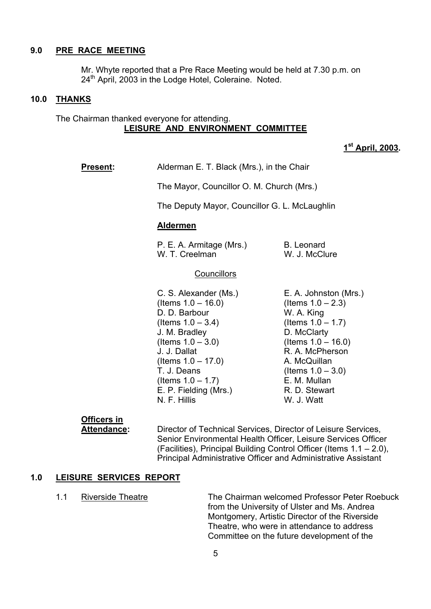#### **9.0 PRE RACE MEETING**

 Mr. Whyte reported that a Pre Race Meeting would be held at 7.30 p.m. on  $24<sup>th</sup>$  April, 2003 in the Lodge Hotel, Coleraine. Noted.

#### **10.0 THANKS**

#### The Chairman thanked everyone for attending. **LEISURE AND ENVIRONMENT COMMITTEE**

**1st April, 2003.** 

| Alderman E. T. Black (Mrs.), in the Chair<br><b>Present:</b> |  |
|--------------------------------------------------------------|--|
|--------------------------------------------------------------|--|

The Mayor, Councillor O. M. Church (Mrs.)

The Deputy Mayor, Councillor G. L. McLaughlin

#### **Aldermen**

P. E. A. Armitage (Mrs.) B. Leonard W. T. Creelman W. J. McClure

**Councillors** 

C. S. Alexander (Ms.) E. A. Johnston (Mrs.)  $($ ltems 1.0 – 16.0) (Items 1.0 – 2.3) D. D. Barbour W. A. King  $($ ltems 1.0  $-$  3.4) (Items 1.0  $-$  1.7) J. M. Bradley D. McClarty  $($ ltems 1.0  $-$  3.0) (Items 1.0  $-$  16.0) J. J. Dallat R. A. McPherson  $($ ltems  $1.0 - 17.0)$  A. McQuillan  $T. J. Deans$  (Items  $1.0 - 3.0$ )  $($ ltems  $1.0 - 1.7)$  E. M. Mullan

E. P. Fielding (Mrs.) R. D. Stewart N. F. Hillis W. J. Watt

# **Officers in**

 **Attendance:** Director of Technical Services, Director of Leisure Services, Senior Environmental Health Officer, Leisure Services Officer (Facilities), Principal Building Control Officer (Items  $1.1 - 2.0$ ), Principal Administrative Officer and Administrative Assistant

#### **1.0 LEISURE SERVICES REPORT**

1.1 Riverside Theatre The Chairman welcomed Professor Peter Roebuck from the University of Ulster and Ms. Andrea Montgomery, Artistic Director of the Riverside Theatre, who were in attendance to address Committee on the future development of the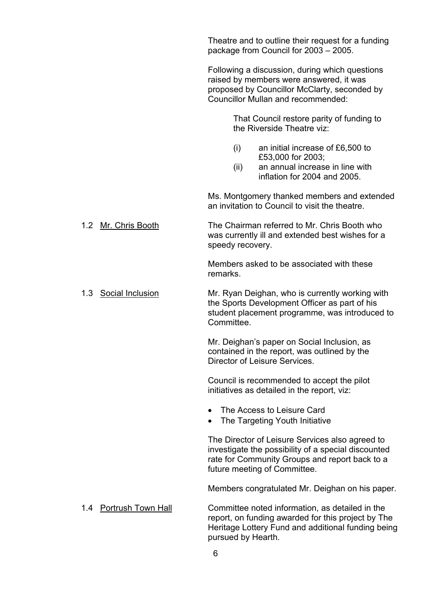Theatre and to outline their request for a funding package from Council for  $2003 - 2005$ . Following a discussion, during which questions raised by members were answered, it was proposed by Councillor McClarty, seconded by Councillor Mullan and recommended: That Council restore parity of funding to the Riverside Theatre viz: (i) an initial increase of £6,500 to £53,000 for 2003; (ii) an annual increase in line with inflation for 2004 and 2005. Ms. Montgomery thanked members and extended an invitation to Council to visit the theatre. 1.2 Mr. Chris Booth The Chairman referred to Mr. Chris Booth who was currently ill and extended best wishes for a speedy recovery. Members asked to be associated with these remarks. 1.3 Social Inclusion Mr. Ryan Deighan, who is currently working with the Sports Development Officer as part of his student placement programme, was introduced to Committee. Mr. Deighan's paper on Social Inclusion, as contained in the report, was outlined by the Director of Leisure Services. Council is recommended to accept the pilot initiatives as detailed in the report, viz: The Access to Leisure Card The Targeting Youth Initiative The Director of Leisure Services also agreed to investigate the possibility of a special discounted rate for Community Groups and report back to a future meeting of Committee. Members congratulated Mr. Deighan on his paper. 1.4 Portrush Town Hall Committee noted information, as detailed in the report, on funding awarded for this project by The Heritage Lottery Fund and additional funding being pursued by Hearth.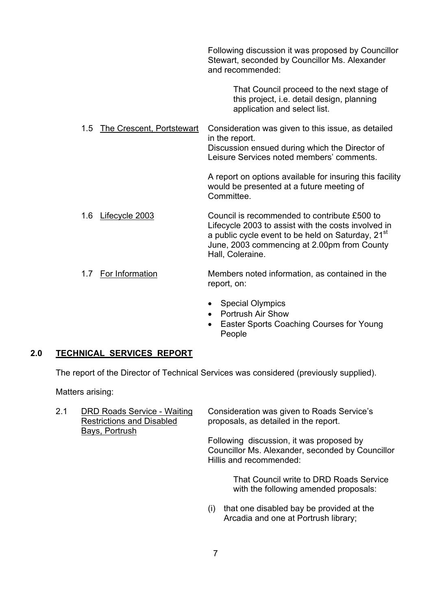Following discussion it was proposed by Councillor Stewart, seconded by Councillor Ms. Alexander and recommended:

> That Council proceed to the next stage of this project, i.e. detail design, planning application and select list.

1.5 The Crescent, Portstewart Consideration was given to this issue, as detailed in the report. Discussion ensued during which the Director of Leisure Services noted members' comments.

> A report on options available for insuring this facility would be presented at a future meeting of **Committee.**

1.6 Lifecycle 2003 Council is recommended to contribute £500 to Lifecycle 2003 to assist with the costs involved in a public cycle event to be held on Saturday,  $21<sup>st</sup>$  June, 2003 commencing at 2.00pm from County Hall, Coleraine.

#### 1.7 For Information Members noted information, as contained in the report, on:

- Special Olympics
- Portrush Air Show
- Easter Sports Coaching Courses for Young People

#### **2.0 TECHNICAL SERVICES REPORT**

The report of the Director of Technical Services was considered (previously supplied).

Matters arising:

 2.1 DRD Roads Service - Waiting Consideration was given to Roads Serviceís Restrictions and Disabled proposals, as detailed in the report. Bays, Portrush Following discussion, it was proposed by

Councillor Ms. Alexander, seconded by Councillor Hillis and recommended:

> That Council write to DRD Roads Service with the following amended proposals:

(i) that one disabled bay be provided at the Arcadia and one at Portrush library;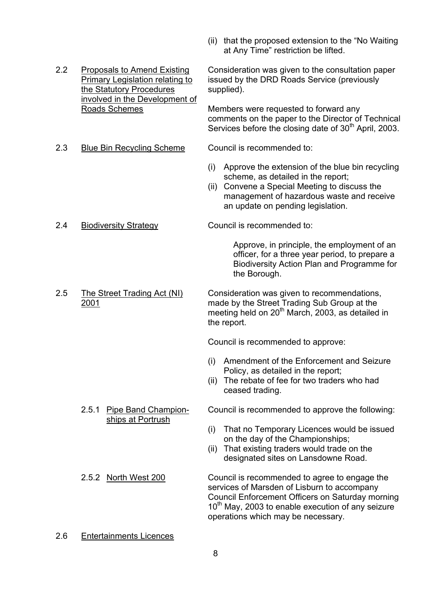- $(ii)$  that the proposed extension to the "No Waiting" at Any Time" restriction be lifted.
- the Statutory Procedures supplied). involved in the Development of
- 2.3 Blue Bin Recycling Scheme Council is recommended to:

 2.2 Proposals to Amend Existing Consideration was given to the consultation paper Primary Legislation relating to issued by the DRD Roads Service (previously

Roads Schemes Members were requested to forward any comments on the paper to the Director of Technical Services before the closing date of  $30<sup>th</sup>$  April, 2003.

- (i) Approve the extension of the blue bin recycling scheme, as detailed in the report;
- (ii) Convene a Special Meeting to discuss the management of hazardous waste and receive an update on pending legislation.

2.4 Biodiversity Strategy Council is recommended to:

 Approve, in principle, the employment of an officer, for a three year period, to prepare a Biodiversity Action Plan and Programme for the Borough.

2.5 The Street Trading Act (NI) Consideration was given to recommendations, 2001 made by the Street Trading Sub Group at the meeting held on  $20<sup>th</sup>$  March, 2003, as detailed in the report.

Council is recommended to approve:

- (i) Amendment of the Enforcement and Seizure Policy, as detailed in the report;
- (ii) The rebate of fee for two traders who had ceased trading.

ships at Portrush

2.5.1 Pipe Band Champion- Council is recommended to approve the following:

- (i) That no Temporary Licences would be issued on the day of the Championships;
- (ii) That existing traders would trade on the designated sites on Lansdowne Road.
- 2.5.2 North West 200 Council is recommended to agree to engage the services of Marsden of Lisburn to accompany Council Enforcement Officers on Saturday morning  $10<sup>th</sup>$  May, 2003 to enable execution of any seizure operations which may be necessary.
- 2.6 Entertainments Licences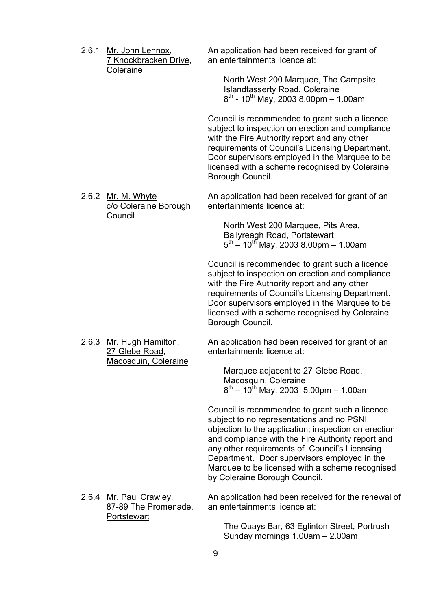| 2.6.1 | Mr. John Lennox,<br>7 Knockbracken Drive,<br><b>Coleraine</b> | An application had been received for grant of<br>an entertainments licence at:<br>North West 200 Marquee, The Campsite,<br><b>Islandtasserty Road, Coleraine</b><br>$8^{th}$ - 10 <sup>th</sup> May, 2003 8.00pm - 1.00am                                                                                                                                                                     |
|-------|---------------------------------------------------------------|-----------------------------------------------------------------------------------------------------------------------------------------------------------------------------------------------------------------------------------------------------------------------------------------------------------------------------------------------------------------------------------------------|
|       |                                                               | Council is recommended to grant such a licence<br>subject to inspection on erection and compliance<br>with the Fire Authority report and any other<br>requirements of Council's Licensing Department.<br>Door supervisors employed in the Marquee to be<br>licensed with a scheme recognised by Coleraine<br>Borough Council.                                                                 |
|       | 2.6.2 Mr. M. Whyte<br>c/o Coleraine Borough                   | An application had been received for grant of an<br>entertainments licence at:                                                                                                                                                                                                                                                                                                                |
|       | Council                                                       | North West 200 Marquee, Pits Area,<br>Ballyreagh Road, Portstewart<br>$5^{\text{th}} - 10^{\text{th}}$ May, 2003 8.00pm - 1.00am                                                                                                                                                                                                                                                              |
|       |                                                               | Council is recommended to grant such a licence<br>subject to inspection on erection and compliance<br>with the Fire Authority report and any other<br>requirements of Council's Licensing Department.<br>Door supervisors employed in the Marquee to be<br>licensed with a scheme recognised by Coleraine<br>Borough Council.                                                                 |
|       | 2.6.3 Mr. Hugh Hamilton,<br>27 Glebe Road,                    | An application had been received for grant of an<br>entertainments licence at:                                                                                                                                                                                                                                                                                                                |
|       | Macosquin, Coleraine                                          | Marquee adjacent to 27 Glebe Road,<br>Macosquin, Coleraine<br>$8^{th}$ – 10 <sup>th</sup> May, 2003 5.00pm – 1.00am                                                                                                                                                                                                                                                                           |
|       |                                                               | Council is recommended to grant such a licence<br>subject to no representations and no PSNI<br>objection to the application; inspection on erection<br>and compliance with the Fire Authority report and<br>any other requirements of Council's Licensing<br>Department. Door supervisors employed in the<br>Marquee to be licensed with a scheme recognised<br>by Coleraine Borough Council. |
|       | 2.6.4 Mr. Paul Crawley,<br>87-89 The Promenade,               | An application had been received for the renewal of<br>an entertainments licence at:                                                                                                                                                                                                                                                                                                          |
|       | Portstewart                                                   | The Quays Bar, 63 Eglinton Street, Portrush<br>Sunday mornings 1.00am - 2.00am                                                                                                                                                                                                                                                                                                                |
|       |                                                               |                                                                                                                                                                                                                                                                                                                                                                                               |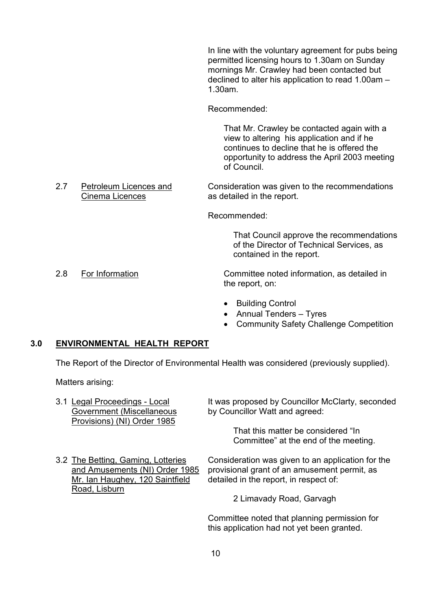In line with the voluntary agreement for pubs being permitted licensing hours to 1.30am on Sunday mornings Mr. Crawley had been contacted but declined to alter his application to read  $1.00$ am  $-$ 1.30am.

Recommended:

 That Mr. Crawley be contacted again with a view to altering his application and if he continues to decline that he is offered the opportunity to address the April 2003 meeting of Council.

2.7 Petroleum Licences and Consideration was given to the recommendations Cinema Licences as detailed in the report.

Recommended:

 That Council approve the recommendations of the Director of Technical Services, as contained in the report.

- 2.8 For Information Committee noted information, as detailed in the report, on:
	- Building Control
	- $\bullet$  Annual Tenders  $-$  Tyres
	- Community Safety Challenge Competition

#### **3.0 ENVIRONMENTAL HEALTH REPORT**

The Report of the Director of Environmental Health was considered (previously supplied).

Matters arising:

| 3.1 Legal Proceedings - Local                            | It was proposed by Councillor McClarty, seconded                            |
|----------------------------------------------------------|-----------------------------------------------------------------------------|
| Government (Miscellaneous<br>Provisions) (NI) Order 1985 | by Councillor Watt and agreed:                                              |
|                                                          | That this matter be considered "In<br>Committee" at the end of the meeting. |

Road, Lisburn

3.2 The Betting, Gaming, Lotteries Consideration was given to an application for the and Amusements (NI) Order 1985 provisional grant of an amusement permit, as Mr. Ian Haughey, 120 Saintfield detailed in the report, in respect of:

2 Limavady Road, Garvagh

 Committee noted that planning permission for this application had not yet been granted.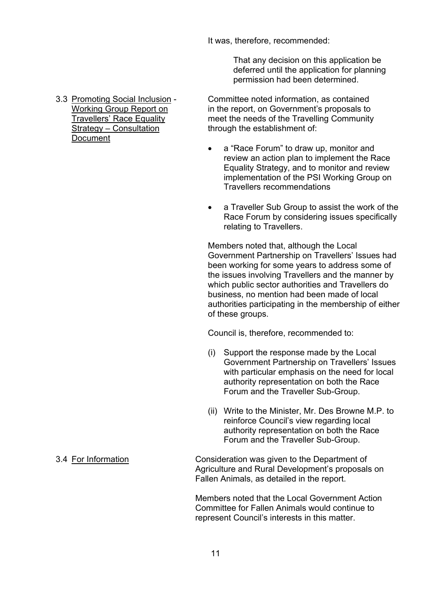It was, therefore, recommended:

 That any decision on this application be deferred until the application for planning permission had been determined.

**Document** 

 3.3 Promoting Social Inclusion - Committee noted information, as contained Working Group Report on in the report, on Government's proposals to Travellersí Race Equality meet the needs of the Travelling Community Strategy – Consultation through the establishment of:

- a "Race Forum" to draw up, monitor and review an action plan to implement the Race Equality Strategy, and to monitor and review implementation of the PSI Working Group on Travellers recommendations
- a Traveller Sub Group to assist the work of the Race Forum by considering issues specifically relating to Travellers.

Members noted that, although the Local Government Partnership on Travellers' Issues had been working for some years to address some of the issues involving Travellers and the manner by which public sector authorities and Travellers do business, no mention had been made of local authorities participating in the membership of either of these groups.

Council is, therefore, recommended to:

- (i) Support the response made by the Local Government Partnership on Travellers' Issues with particular emphasis on the need for local authority representation on both the Race Forum and the Traveller Sub-Group.
- (ii) Write to the Minister, Mr. Des Browne M.P. to reinforce Council's view regarding local authority representation on both the Race Forum and the Traveller Sub-Group.

 3.4 For Information Consideration was given to the Department of Agriculture and Rural Development's proposals on Fallen Animals, as detailed in the report.

> Members noted that the Local Government Action Committee for Fallen Animals would continue to represent Council's interests in this matter.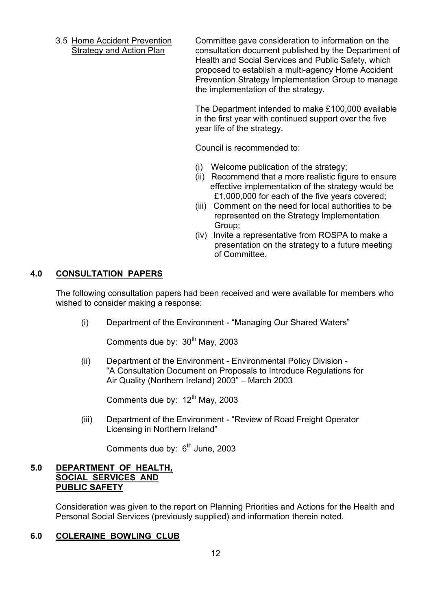3.5 Home Accident Prevention Committee gave consideration to information on the Strategy and Action Plan consultation document published by the Department of Health and Social Services and Public Safety, which proposed to establish a multi-agency Home Accident Prevention Strategy Implementation Group to manage the implementation of the strategy.

> The Department intended to make £100,000 available in the first year with continued support over the five year life of the strategy.

Council is recommended to:

- (i) Welcome publication of the strategy;
- (ii) Recommend that a more realistic figure to ensure effective implementation of the strategy would be £1,000,000 for each of the five years covered;
- (iii) Comment on the need for local authorities to be represented on the Strategy Implementation Group;
- (iv) Invite a representative from ROSPA to make a presentation on the strategy to a future meeting of Committee.

#### **4.0 CONSULTATION PAPERS**

The following consultation papers had been received and were available for members who wished to consider making a response:

(i) Department of the Environment - "Managing Our Shared Waters"

Comments due by:  $30<sup>th</sup>$  May, 2003

 (ii) Department of the Environment - Environmental Policy Division ìA Consultation Document on Proposals to Introduce Regulations for Air Quality (Northern Ireland)  $2003"$  – March 2003

Comments due by:  $12<sup>th</sup>$  May, 2003

(iii) Department of the Environment - "Review of Road Freight Operator Licensing in Northern Ireland"

Comments due by:  $6<sup>th</sup>$  June, 2003

#### **5.0 DEPARTMENT OF HEALTH, SOCIAL SERVICES AND PUBLIC SAFETY**

 Consideration was given to the report on Planning Priorities and Actions for the Health and Personal Social Services (previously supplied) and information therein noted.

#### **6.0 COLERAINE BOWLING CLUB**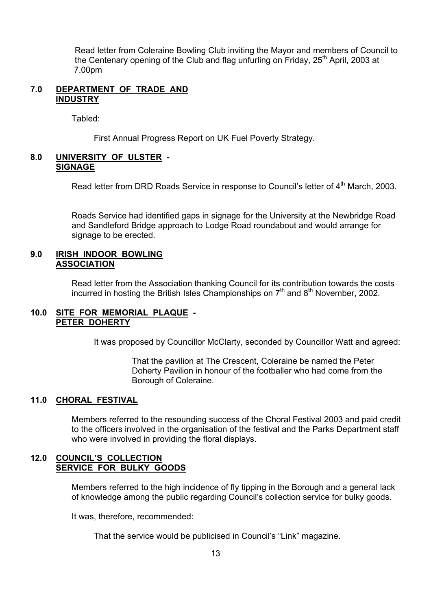Read letter from Coleraine Bowling Club inviting the Mayor and members of Council to the Centenary opening of the Club and flag unfurling on Friday, 25<sup>th</sup> April, 2003 at 7.00pm

#### **7.0 DEPARTMENT OF TRADE AND INDUSTRY**

Tabled:

First Annual Progress Report on UK Fuel Poverty Strategy.

#### **8.0 UNIVERSITY OF ULSTER - SIGNAGE**

Read letter from DRD Roads Service in response to Council's letter of 4<sup>th</sup> March, 2003.

 Roads Service had identified gaps in signage for the University at the Newbridge Road and Sandleford Bridge approach to Lodge Road roundabout and would arrange for signage to be erected.

#### **9.0 IRISH INDOOR BOWLING ASSOCIATION**

 Read letter from the Association thanking Council for its contribution towards the costs incurred in hosting the British Isles Championships on  $7<sup>th</sup>$  and  $8<sup>th</sup>$  November, 2002.

#### **10.0 SITE FOR MEMORIAL PLAQUE - PETER DOHERTY**

It was proposed by Councillor McClarty, seconded by Councillor Watt and agreed:

 That the pavilion at The Crescent, Coleraine be named the Peter Doherty Pavilion in honour of the footballer who had come from the Borough of Coleraine.

#### **11.0 CHORAL FESTIVAL**

 Members referred to the resounding success of the Choral Festival 2003 and paid credit to the officers involved in the organisation of the festival and the Parks Department staff who were involved in providing the floral displays.

#### **12.0 COUNCIL'S COLLECTION SERVICE FOR BULKY GOODS**

Members referred to the high incidence of fly tipping in the Borough and a general lack of knowledge among the public regarding Council's collection service for bulky goods.

It was, therefore, recommended:

That the service would be publicised in Council's "Link" magazine.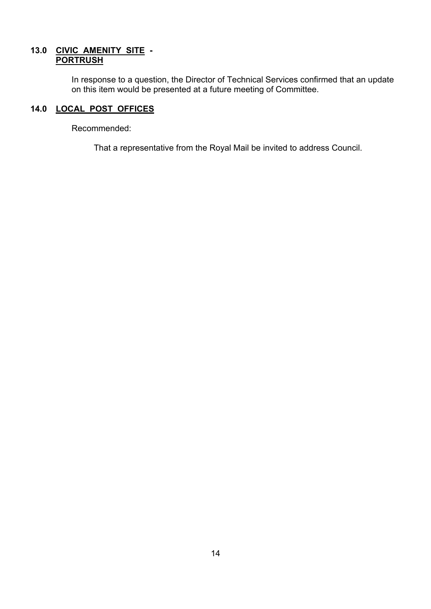### **13.0 CIVIC AMENITY SITE - PORTRUSH**

In response to a question, the Director of Technical Services confirmed that an update on this item would be presented at a future meeting of Committee.

# **14.0 LOCAL POST OFFICES**

Recommended:

That a representative from the Royal Mail be invited to address Council.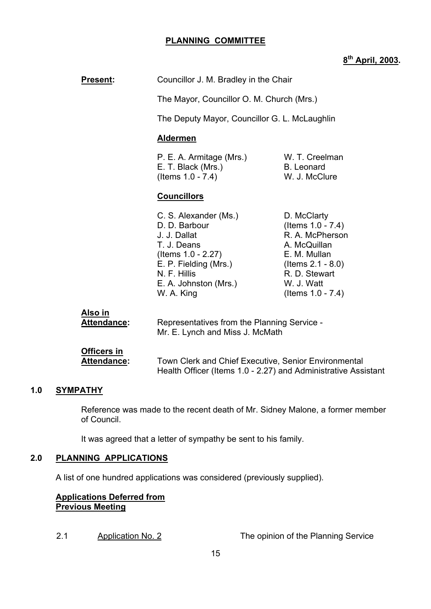#### **PLANNING COMMITTEE**

# **8th April, 2003.**

| <b>Present:</b>                      | Councillor J. M. Bradley in the Chair<br>The Mayor, Councillor O. M. Church (Mrs.)<br>The Deputy Mayor, Councillor G. L. McLaughlin<br><b>Aldermen</b>                         |                                                                                                                                                                    |
|--------------------------------------|--------------------------------------------------------------------------------------------------------------------------------------------------------------------------------|--------------------------------------------------------------------------------------------------------------------------------------------------------------------|
|                                      |                                                                                                                                                                                |                                                                                                                                                                    |
|                                      |                                                                                                                                                                                |                                                                                                                                                                    |
|                                      |                                                                                                                                                                                |                                                                                                                                                                    |
|                                      | P. E. A. Armitage (Mrs.)<br>E. T. Black (Mrs.)<br>(Items 1.0 - 7.4)                                                                                                            | W. T. Creelman<br><b>B.</b> Leonard<br>W. J. McClure                                                                                                               |
|                                      | <b>Councillors</b>                                                                                                                                                             |                                                                                                                                                                    |
|                                      | C. S. Alexander (Ms.)<br>D. D. Barbour<br>J. J. Dallat<br>T. J. Deans<br>(Items $1.0 - 2.27$ )<br>E. P. Fielding (Mrs.)<br>N. F. Hillis<br>E. A. Johnston (Mrs.)<br>W. A. King | D. McClarty<br>(Items $1.0 - 7.4$ )<br>R. A. McPherson<br>A. McQuillan<br>E. M. Mullan<br>(Items $2.1 - 8.0$ )<br>R. D. Stewart<br>W. J. Watt<br>(Items 1.0 - 7.4) |
| <u>Also in</u><br><u>Attendance:</u> | Representatives from the Planning Service -<br>Mr. E. Lynch and Miss J. McMath                                                                                                 |                                                                                                                                                                    |
| <b>Officers in</b>                   |                                                                                                                                                                                |                                                                                                                                                                    |

#### **1.0 SYMPATHY**

 Reference was made to the recent death of Mr. Sidney Malone, a former member of Council.

Health Officer (Items 1.0 - 2.27) and Administrative Assistant

 **Attendance:** Town Clerk and Chief Executive, Senior Environmental

It was agreed that a letter of sympathy be sent to his family.

#### **2.0 PLANNING APPLICATIONS**

A list of one hundred applications was considered (previously supplied).

#### **Applications Deferred from Previous Meeting**

2.1 Application No. 2 The opinion of the Planning Service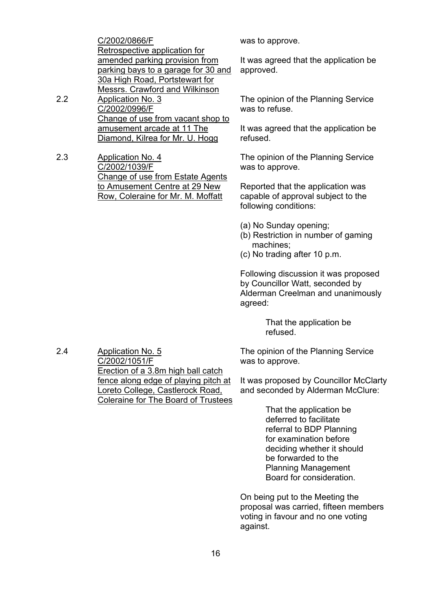|    | C/2002/0866/F                         |
|----|---------------------------------------|
|    | Retrospective application for         |
|    | amended parking provision from        |
|    | parking bays to a garage for 30 and   |
|    | 30a High Road, Portstewart for        |
|    | <b>Messrs. Crawford and Wilkinson</b> |
| 22 | <b>Application No. 3</b>              |
|    | C/2002/0996/F                         |
|    | Change of use from vacant shop to     |
|    | amusement arcade at 11 The            |
|    | Diamond, Kilrea for Mr. U. Hogg       |
|    |                                       |

2.3 Application No. 4 C/2002/1039/F Change of use from Estate Agents to Amusement Centre at 29 New Row, Coleraine for Mr. M. Moffatt

was to approve.

It was agreed that the application be approved.

The opinion of the Planning Service was to refuse.

It was agreed that the application be refused.

The opinion of the Planning Service was to approve.

Reported that the application was capable of approval subject to the following conditions:

- (a) No Sunday opening;
- (b) Restriction in number of gaming machines;
- (c) No trading after 10 p.m.

Following discussion it was proposed by Councillor Watt, seconded by Alderman Creelman and unanimously agreed:

> That the application be refused.

The opinion of the Planning Service was to approve.

It was proposed by Councillor McClarty and seconded by Alderman McClure:

> That the application be deferred to facilitate referral to BDP Planning for examination before deciding whether it should be forwarded to the Planning Management Board for consideration.

On being put to the Meeting the proposal was carried, fifteen members voting in favour and no one voting against.

2.4 Application No. 5 C/2002/1051/F Erection of a 3.8m high ball catch fence along edge of playing pitch at Loreto College, Castlerock Road, Coleraine for The Board of Trustees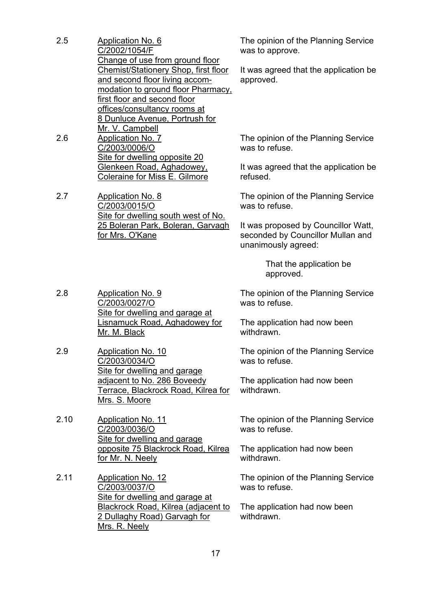| 25  | Application No. 6                    |
|-----|--------------------------------------|
|     | C/2002/1054/F                        |
|     | Change of use from ground floor      |
|     | Chemist/Stationery Shop, first floor |
|     | and second floor living accom-       |
|     | modation to ground floor Pharmacy,   |
|     | first floor and second floor         |
|     | offices/consultancy rooms at         |
|     | 8 Dunluce Avenue, Portrush for       |
|     | Mr. V. Campbell                      |
| 2.6 | Application No. 7                    |
|     | C/2003/0006/O                        |
|     | Site for dwelling opposite 20        |
|     | Glenkeen Road, Aghadowey,            |
|     | Coleraine for Miss E. Gilmore        |

2.7 Application No. 8 C/2003/0015/O Site for dwelling south west of No. 25 Boleran Park, Boleran, Garvagh for Mrs. O'Kane

The opinion of the Planning Service was to approve.

It was agreed that the application be approved.

The opinion of the Planning Service was to refuse.

It was agreed that the application be refused.

The opinion of the Planning Service was to refuse.

It was proposed by Councillor Watt, seconded by Councillor Mullan and unanimously agreed:

> That the application be approved.

The opinion of the Planning Service was to refuse.

The application had now been withdrawn.

The opinion of the Planning Service was to refuse.

The application had now been withdrawn.

The opinion of the Planning Service was to refuse.

The application had now been withdrawn.

The opinion of the Planning Service was to refuse.

The application had now been withdrawn.

2.8 Application No. 9 C/2003/0027/O Site for dwelling and garage at Lisnamuck Road, Aghadowey for Mr. M. Black

2.9 Application No. 10 C/2003/0034/O Site for dwelling and garage adjacent to No. 286 Boveedy Terrace, Blackrock Road, Kilrea for Mrs. S. Moore

2.10 Application No. 11 C/2003/0036/O Site for dwelling and garage opposite 75 Blackrock Road, Kilrea for Mr. N. Neely

2.11 Application No. 12 C/2003/0037/O Site for dwelling and garage at Blackrock Road, Kilrea (adjacent to 2 Dullaghy Road) Garvagh for Mrs. R. Neely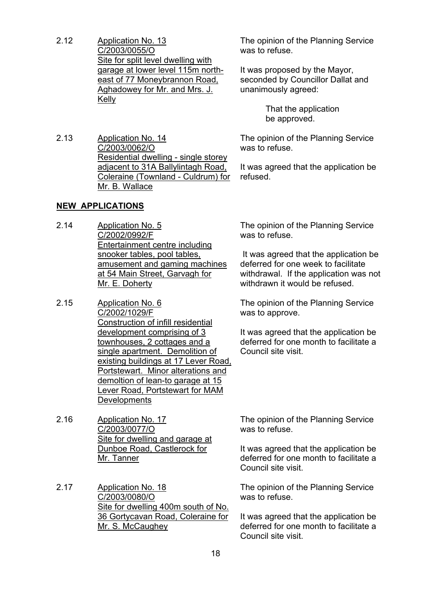- 2.12 Application No. 13 C/2003/0055/O Site for split level dwelling with garage at lower level 115m northeast of 77 Moneybrannon Road, Aghadowey for Mr. and Mrs. J. Kelly
- 2.13 Application No. 14 C/2003/0062/O Residential dwelling - single storey adjacent to 31A Ballylintagh Road, Coleraine (Townland - Culdrum) for Mr. B. Wallace

#### **NEW APPLICATIONS**

- 2.14 Application No. 5 C/2002/0992/F Entertainment centre including snooker tables, pool tables, amusement and gaming machines at 54 Main Street, Garvagh for Mr. E. Doherty
- 2.15 Application No. 6 C/2002/1029/F Construction of infill residential development comprising of 3 townhouses, 2 cottages and a single apartment. Demolition of existing buildings at 17 Lever Road. Portstewart. Minor alterations and demoltion of lean-to garage at 15 Lever Road, Portstewart for MAM **Developments**
- 2.16 Application No. 17 C/2003/0077/O Site for dwelling and garage at Dunboe Road, Castlerock for Mr. Tanner
- 2.17 Application No. 18 C/2003/0080/O Site for dwelling 400m south of No. 36 Gortycavan Road, Coleraine for Mr. S. McCaughey

The opinion of the Planning Service was to refuse.

It was proposed by the Mayor, seconded by Councillor Dallat and unanimously agreed:

> That the application be approved.

The opinion of the Planning Service was to refuse.

It was agreed that the application be refused.

The opinion of the Planning Service was to refuse.

 It was agreed that the application be deferred for one week to facilitate withdrawal. If the application was not withdrawn it would be refused.

The opinion of the Planning Service was to approve.

It was agreed that the application be deferred for one month to facilitate a Council site visit.

The opinion of the Planning Service was to refuse.

It was agreed that the application be deferred for one month to facilitate a Council site visit.

The opinion of the Planning Service was to refuse.

It was agreed that the application be deferred for one month to facilitate a Council site visit.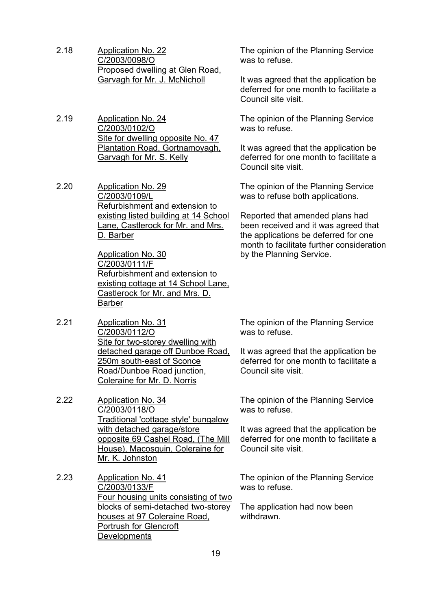- 2.18 Application No. 22 C/2003/0098/O Proposed dwelling at Glen Road, Garvagh for Mr. J. McNicholl
- 2.19 Application No. 24 C/2003/0102/O Site for dwelling opposite No. 47 Plantation Road, Gortnamoyagh, Garvagh for Mr. S. Kelly
- 2.20 Application No. 29 C/2003/0109/L Refurbishment and extension to existing listed building at 14 School Lane, Castlerock for Mr. and Mrs. D. Barber

Application No. 30 C/2003/0111/F Refurbishment and extension to existing cottage at 14 School Lane, Castlerock for Mr. and Mrs. D. Barber

- 2.21 Application No. 31 C/2003/0112/O Site for two-storey dwelling with detached garage off Dunboe Road, 250m south-east of Sconce Road/Dunboe Road junction, Coleraine for Mr. D. Norris
- 2.22 Application No. 34 C/2003/0118/O Traditional 'cottage style' bungalow with detached garage/store opposite 69 Cashel Road, (The Mill House), Macosquin, Coleraine for Mr. K. Johnston
- 2.23 Application No. 41 C/2003/0133/F Four housing units consisting of two blocks of semi-detached two-storey houses at 97 Coleraine Road, Portrush for Glencroft **Developments**

The opinion of the Planning Service was to refuse.

It was agreed that the application be deferred for one month to facilitate a Council site visit.

The opinion of the Planning Service was to refuse.

It was agreed that the application be deferred for one month to facilitate a Council site visit.

The opinion of the Planning Service was to refuse both applications.

Reported that amended plans had been received and it was agreed that the applications be deferred for one month to facilitate further consideration by the Planning Service.

The opinion of the Planning Service was to refuse.

It was agreed that the application be deferred for one month to facilitate a Council site visit.

The opinion of the Planning Service was to refuse.

It was agreed that the application be deferred for one month to facilitate a Council site visit.

The opinion of the Planning Service was to refuse.

The application had now been withdrawn.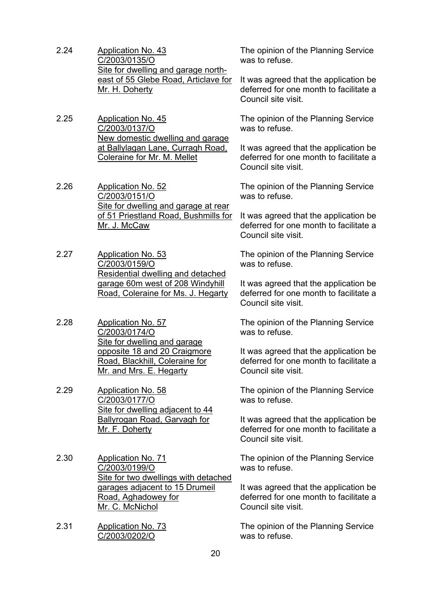- 2.24 Application No. 43 C/2003/0135/O Site for dwelling and garage northeast of 55 Glebe Road, Articlave for Mr. H. Doherty
- 2.25 Application No. 45 C/2003/0137/O New domestic dwelling and garage at Ballylagan Lane, Curragh Road, Coleraine for Mr. M. Mellet
- 2.26 Application No. 52 C/2003/0151/O Site for dwelling and garage at rear of 51 Priestland Road, Bushmills for Mr. J. McCaw
- 2.27 Application No. 53 C/2003/0159/O Residential dwelling and detached garage 60m west of 208 Windyhill Road, Coleraine for Ms. J. Hegarty
- 2.28 Application No. 57 C/2003/0174/O Site for dwelling and garage opposite 18 and 20 Craigmore Road, Blackhill, Coleraine for Mr. and Mrs. E. Hegarty
- 2.29 Application No. 58 C/2003/0177/O Site for dwelling adjacent to 44 Ballyrogan Road, Garvagh for Mr. F. Doherty
- 2.30 Application No. 71 C/2003/0199/O Site for two dwellings with detached garages adjacent to 15 Drumeil Road, Aghadowey for Mr. C. McNichol
- 2.31 Application No. 73 C/2003/0202/O

The opinion of the Planning Service was to refuse.

It was agreed that the application be deferred for one month to facilitate a Council site visit.

The opinion of the Planning Service was to refuse.

It was agreed that the application be deferred for one month to facilitate a Council site visit.

The opinion of the Planning Service was to refuse.

It was agreed that the application be deferred for one month to facilitate a Council site visit.

The opinion of the Planning Service was to refuse.

It was agreed that the application be deferred for one month to facilitate a Council site visit.

The opinion of the Planning Service was to refuse.

It was agreed that the application be deferred for one month to facilitate a Council site visit.

The opinion of the Planning Service was to refuse.

It was agreed that the application be deferred for one month to facilitate a Council site visit.

The opinion of the Planning Service was to refuse.

It was agreed that the application be deferred for one month to facilitate a Council site visit.

The opinion of the Planning Service was to refuse.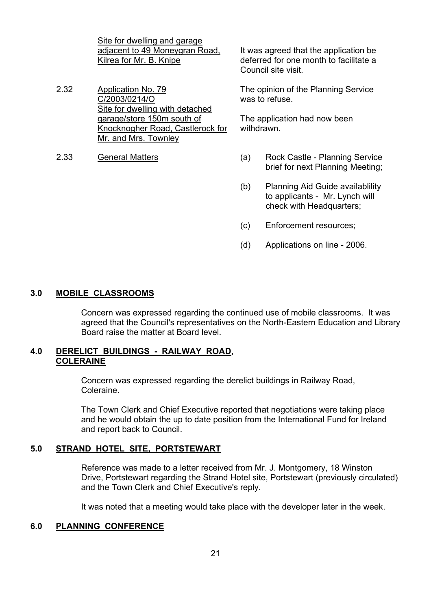Site for dwelling and garage adjacent to 49 Moneygran Road, Kilrea for Mr. B. Knipe

- 2.32 Application No. 79 C/2003/0214/O Site for dwelling with detached garage/store 150m south of Knocknogher Road, Castlerock for Mr. and Mrs. Townley
- 

It was agreed that the application be deferred for one month to facilitate a Council site visit.

The opinion of the Planning Service was to refuse.

The application had now been withdrawn.

- 2.33 General Matters (a) Rock Castle Planning Service brief for next Planning Meeting;
	- (b) Planning Aid Guide availablility to applicants - Mr. Lynch will check with Headquarters;
	- (c) Enforcement resources;
	- (d) Applications on line 2006.

#### **3.0 MOBILE CLASSROOMS**

 Concern was expressed regarding the continued use of mobile classrooms. It was agreed that the Council's representatives on the North-Eastern Education and Library Board raise the matter at Board level.

#### **4.0 DERELICT BUILDINGS - RAILWAY ROAD, COLERAINE**

 Concern was expressed regarding the derelict buildings in Railway Road, Coleraine.

The Town Clerk and Chief Executive reported that negotiations were taking place and he would obtain the up to date position from the International Fund for Ireland and report back to Council.

#### **5.0 STRAND HOTEL SITE, PORTSTEWART**

 Reference was made to a letter received from Mr. J. Montgomery, 18 Winston Drive, Portstewart regarding the Strand Hotel site, Portstewart (previously circulated) and the Town Clerk and Chief Executive's reply.

It was noted that a meeting would take place with the developer later in the week.

#### **6.0 PLANNING CONFERENCE**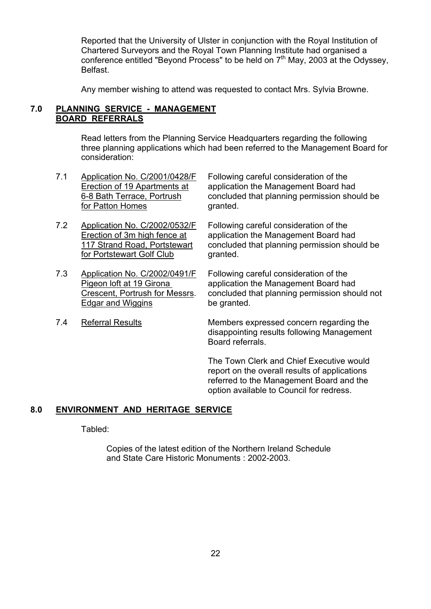Reported that the University of Ulster in conjunction with the Royal Institution of Chartered Surveyors and the Royal Town Planning Institute had organised a conference entitled "Beyond Process" to be held on  $7<sup>th</sup>$  May, 2003 at the Odyssey, Belfast.

Any member wishing to attend was requested to contact Mrs. Sylvia Browne.

#### **7.0 PLANNING SERVICE - MANAGEMENT BOARD REFERRALS**

 Read letters from the Planning Service Headquarters regarding the following three planning applications which had been referred to the Management Board for consideration:

- 7.1 Application No. C/2001/0428/F Following careful consideration of the<br>Erection of 19 Apartments at application the Management Board ha for Patton Homes granted.
- 7.2 Application No. C/2002/0532/F Following careful consideration of the for Portstewart Golf Club granted.
- 7.3 Application No. C/2002/0491/F Following careful consideration of the Edgar and Wiggins be granted.
- 

Erection of 19 Apartments at application the Management Board had<br>6-8 Bath Terrace, Portrush concluded that planning permission shore concluded that planning permission should be

Erection of 3m high fence at application the Management Board had 117 Strand Road, Portstewart concluded that planning permission should be

Pigeon loft at 19 Girona **application the Management Board had** Crescent, Portrush for Messrs. concluded that planning permission should not

 7.4 Referral Results Members expressed concern regarding the disappointing results following Management Board referrals.

> The Town Clerk and Chief Executive would report on the overall results of applications referred to the Management Board and the option available to Council for redress.

#### **8.0 ENVIRONMENT AND HERITAGE SERVICE**

#### Tabled:

 Copies of the latest edition of the Northern Ireland Schedule and State Care Historic Monuments : 2002-2003.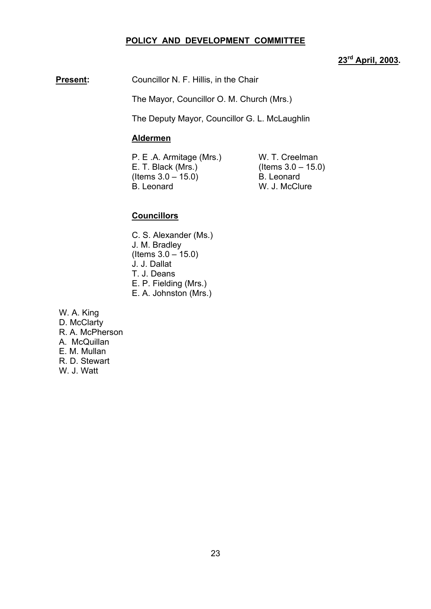#### **POLICY AND DEVELOPMENT COMMITTEE**

# **23rd April, 2003.**

**Present:** Councillor N. F. Hillis, in the Chair

The Mayor, Councillor O. M. Church (Mrs.)

The Deputy Mayor, Councillor G. L. McLaughlin

#### **Aldermen**

P. E .A. Armitage (Mrs.) W. T. Creelman E. T. Black (Mrs.) (Items  $3.0 - 15.0$ ) (Items  $3.0 - 15.0$ ) B. Leonard<br>B. Leonard W. J. McClu

W. J. McClure

#### **Councillors**

- C. S. Alexander (Ms.) J. M. Bradley  $($  ltems  $3.0 - 15.0)$ J. J. Dallat T. J. Deans E. P. Fielding (Mrs.) E. A. Johnston (Mrs.)
- W. A. King

D. McClarty R. A. McPherson A. McQuillan E. M. Mullan R. D. Stewart W. J. Watt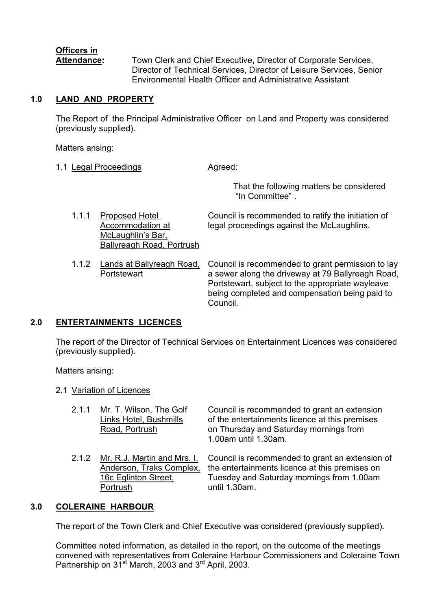# **Officers in**

 **Attendance:** Town Clerk and Chief Executive, Director of Corporate Services, Director of Technical Services, Director of Leisure Services, Senior Environmental Health Officer and Administrative Assistant

"In Committee"

#### **1.0 LAND AND PROPERTY**

 The Report of the Principal Administrative Officer on Land and Property was considered (previously supplied).

Matters arising:

- 1.1 Legal Proceedings **Agreed:**  That the following matters be considered
	- 1.1.1 Proposed Hotel Council is recommended to ratify the initiation of Accommodation at legal proceedings against the McLaughlins. McLaughlin's Bar, Ballyreagh Road, Portrush
	- 1.1.2 Lands at Ballyreagh Road, Council is recommended to grant permission to lay Portstewart **a** sewer along the driveway at 79 Ballyreagh Road, Portstewart, subject to the appropriate wayleave being completed and compensation being paid to Council.

#### **2.0 ENTERTAINMENTS LICENCES**

 The report of the Director of Technical Services on Entertainment Licences was considered (previously supplied).

Matters arising:

2.1 Variation of Licences

| 2.1.1 | Mr. T. Wilson, The Golf<br>Links Hotel, Bushmills<br>Road, Portrush                         | Council is recommended to grant an extension<br>of the entertainments licence at this premises<br>on Thursday and Saturday mornings from<br>1.00am until 1.30am. |
|-------|---------------------------------------------------------------------------------------------|------------------------------------------------------------------------------------------------------------------------------------------------------------------|
| 2.1.2 | Mr. R.J. Martin and Mrs. I.<br>Anderson, Traks Complex,<br>16c Eglinton Street,<br>Portrush | Council is recommended to grant an extension of<br>the entertainments licence at this premises on<br>Tuesday and Saturday mornings from 1.00am<br>until 1.30am.  |

#### **3.0 COLERAINE HARBOUR**

The report of the Town Clerk and Chief Executive was considered (previously supplied).

Committee noted information, as detailed in the report, on the outcome of the meetings convened with representatives from Coleraine Harbour Commissioners and Coleraine Town Partnership on  $31^{st}$  March, 2003 and  $3^{rd}$  April, 2003.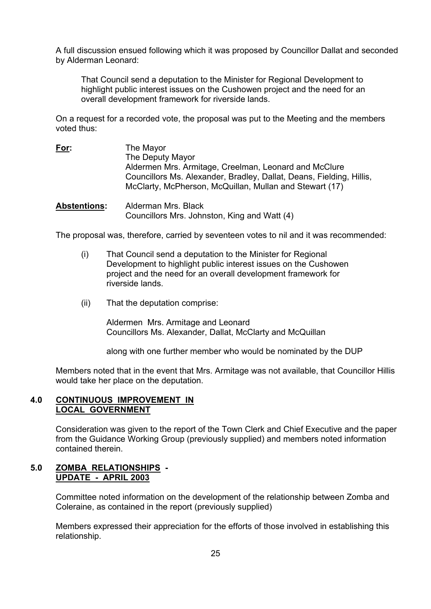A full discussion ensued following which it was proposed by Councillor Dallat and seconded by Alderman Leonard:

 That Council send a deputation to the Minister for Regional Development to highlight public interest issues on the Cushowen project and the need for an overall development framework for riverside lands.

On a request for a recorded vote, the proposal was put to the Meeting and the members voted thus:

- **For:** The Mayor The Deputy Mayor Aldermen Mrs. Armitage, Creelman, Leonard and McClure Councillors Ms. Alexander, Bradley, Dallat, Deans, Fielding, Hillis, McClarty, McPherson, McQuillan, Mullan and Stewart (17)
- **Abstentions:** Alderman Mrs. Black Councillors Mrs. Johnston, King and Watt (4)

The proposal was, therefore, carried by seventeen votes to nil and it was recommended:

- (i) That Council send a deputation to the Minister for Regional Development to highlight public interest issues on the Cushowen project and the need for an overall development framework for riverside lands.
- (ii) That the deputation comprise:

Aldermen Mrs. Armitage and Leonard Councillors Ms. Alexander, Dallat, McClarty and McQuillan

along with one further member who would be nominated by the DUP

Members noted that in the event that Mrs. Armitage was not available, that Councillor Hillis would take her place on the deputation.

#### **4.0 CONTINUOUS IMPROVEMENT IN LOCAL GOVERNMENT**

Consideration was given to the report of the Town Clerk and Chief Executive and the paper from the Guidance Working Group (previously supplied) and members noted information contained therein.

#### **5.0 ZOMBA RELATIONSHIPS - UPDATE - APRIL 2003**

Committee noted information on the development of the relationship between Zomba and Coleraine, as contained in the report (previously supplied)

Members expressed their appreciation for the efforts of those involved in establishing this relationship.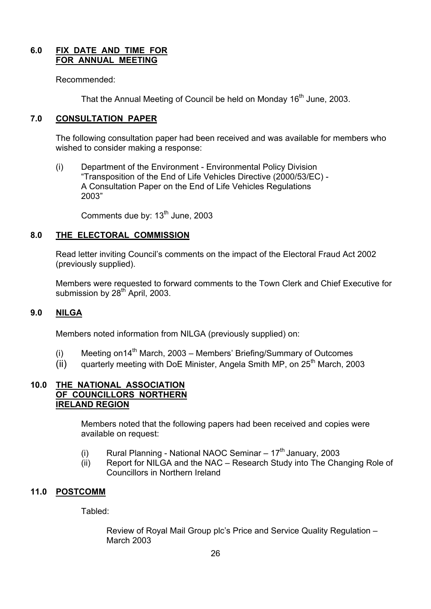#### **6.0 FIX DATE AND TIME FOR FOR ANNUAL MEETING**

Recommended:

That the Annual Meeting of Council be held on Monday 16<sup>th</sup> June, 2003.

#### **7.0 CONSULTATION PAPER**

The following consultation paper had been received and was available for members who wished to consider making a response:

 (i) Department of the Environment - Environmental Policy Division ìTransposition of the End of Life Vehicles Directive (2000/53/EC) - A Consultation Paper on the End of Life Vehicles Regulations 2003î

Comments due by: 13<sup>th</sup> June, 2003

#### **8.0 THE ELECTORAL COMMISSION**

Read letter inviting Council's comments on the impact of the Electoral Fraud Act 2002 (previously supplied).

Members were requested to forward comments to the Town Clerk and Chief Executive for submission by  $28<sup>th</sup>$  April, 2003.

#### **9.0 NILGA**

Members noted information from NILGA (previously supplied) on:

- (i) Meeting on  $14^{th}$  March, 2003 Members' Briefing/Summary of Outcomes
- $(iii)$  quarterly meeting with DoE Minister, Angela Smith MP, on 25<sup>th</sup> March, 2003

#### **10.0 THE NATIONAL ASSOCIATION OF COUNCILLORS NORTHERN IRELAND REGION**

 Members noted that the following papers had been received and copies were available on request:

- (i) Rural Planning National NAOC Seminar  $-17<sup>th</sup>$  January, 2003
- $(iii)$  Report for NILGA and the NAC Research Study into The Changing Role of Councillors in Northern Ireland

#### **11.0 POSTCOMM**

Tabled:

Review of Royal Mail Group plc's Price and Service Quality Regulation -March 2003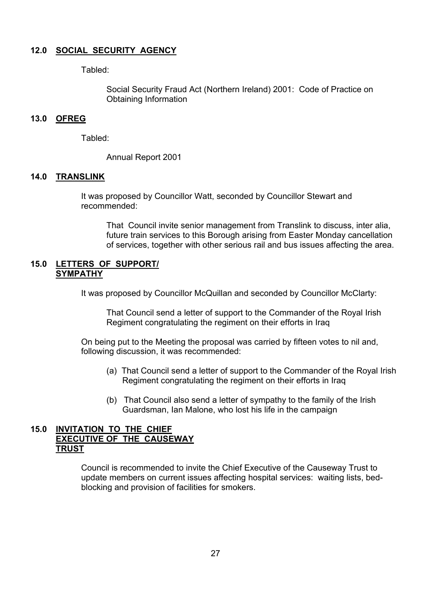#### **12.0 SOCIAL SECURITY AGENCY**

Tabled:

 Social Security Fraud Act (Northern Ireland) 2001: Code of Practice on Obtaining Information

#### **13.0 OFREG**

Tabled:

Annual Report 2001

#### **14.0 TRANSLINK**

 It was proposed by Councillor Watt, seconded by Councillor Stewart and recommended:

 That Council invite senior management from Translink to discuss, inter alia, future train services to this Borough arising from Easter Monday cancellation of services, together with other serious rail and bus issues affecting the area.

#### **15.0 LETTERS OF SUPPORT/ SYMPATHY**

It was proposed by Councillor McQuillan and seconded by Councillor McClarty:

 That Council send a letter of support to the Commander of the Royal Irish Regiment congratulating the regiment on their efforts in Iraq

 On being put to the Meeting the proposal was carried by fifteen votes to nil and, following discussion, it was recommended:

- (a) That Council send a letter of support to the Commander of the Royal Irish Regiment congratulating the regiment on their efforts in Iraq
- (b) That Council also send a letter of sympathy to the family of the Irish Guardsman, Ian Malone, who lost his life in the campaign

#### **15.0 INVITATION TO THE CHIEF EXECUTIVE OF THE CAUSEWAY TRUST**

 Council is recommended to invite the Chief Executive of the Causeway Trust to update members on current issues affecting hospital services: waiting lists, bed blocking and provision of facilities for smokers.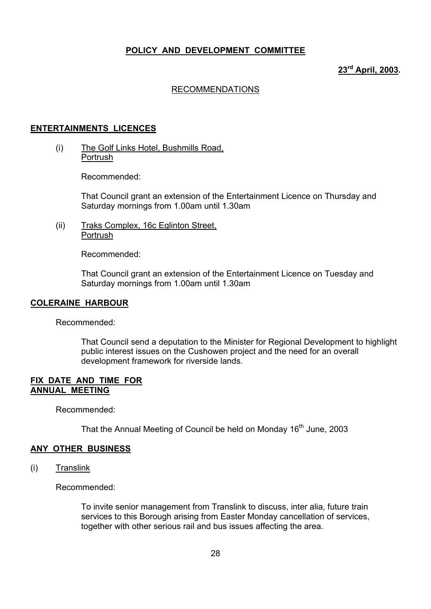#### **POLICY AND DEVELOPMENT COMMITTEE**

#### **23rd April, 2003.**

#### RECOMMENDATIONS

#### **ENTERTAINMENTS LICENCES**

(i) The Golf Links Hotel, Bushmills Road, Portrush

Recommended:

That Council grant an extension of the Entertainment Licence on Thursday and Saturday mornings from 1.00am until 1.30am

(ii) Traks Complex, 16c Eglinton Street, **Portrush** 

Recommended:

That Council grant an extension of the Entertainment Licence on Tuesday and Saturday mornings from 1.00am until 1.30am

#### **COLERAINE HARBOUR**

Recommended:

 That Council send a deputation to the Minister for Regional Development to highlight public interest issues on the Cushowen project and the need for an overall development framework for riverside lands.

#### **FIX DATE AND TIME FOR ANNUAL MEETING**

Recommended:

That the Annual Meeting of Council be held on Monday 16<sup>th</sup> June, 2003

#### **ANY OTHER BUSINESS**

(i) Translink

Recommended:

To invite senior management from Translink to discuss, inter alia, future train services to this Borough arising from Easter Monday cancellation of services, together with other serious rail and bus issues affecting the area.